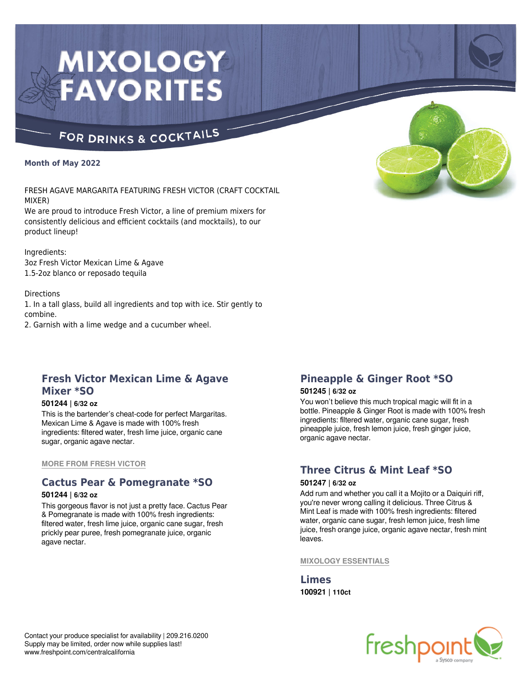# MIXOLOGY **FAVORITES**

# FOR DRINKS & COCKTAILS

#### **Month of May 2022**

FRESH AGAVE MARGARITA FEATURING FRESH VICTOR (CRAFT COCKTAIL MIXER)

We are proud to introduce Fresh Victor, a line of premium mixers for consistently delicious and efficient cocktails (and mocktails), to our product lineup!

Ingredients: 3oz Fresh Victor Mexican Lime & Agave 1.5-2oz blanco or reposado tequila

**Directions** 

1. In a tall glass, build all ingredients and top with ice. Stir gently to combine.

2. Garnish with a lime wedge and a cucumber wheel.

# **Fresh Victor Mexican Lime & Agave Mixer \*SO**

#### **501244 | 6/32 oz**

This is the bartender's cheat-code for perfect Margaritas. Mexican Lime & Agave is made with 100% fresh ingredients: filtered water, fresh lime juice, organic cane sugar, organic agave nectar.

**MORE FROM FRESH VICTOR**

## **Cactus Pear & Pomegranate \*SO**

#### **501244 | 6/32 oz**

This gorgeous flavor is not just a pretty face. Cactus Pear & Pomegranate is made with 100% fresh ingredients: filtered water, fresh lime juice, organic cane sugar, fresh prickly pear puree, fresh pomegranate juice, organic agave nectar.

# **Pineapple & Ginger Root \*SO**

#### **501245 | 6/32 oz**

You won't believe this much tropical magic will fit in a bottle. Pineapple & Ginger Root is made with 100% fresh ingredients: filtered water, organic cane sugar, fresh pineapple juice, fresh lemon juice, fresh ginger juice, organic agave nectar.

### **Three Citrus & Mint Leaf \*SO 501247 | 6/32 oz**

Add rum and whether you call it a Mojito or a Daiquiri riff, you're never wrong calling it delicious. Three Citrus & Mint Leaf is made with 100% fresh ingredients: filtered water, organic cane sugar, fresh lemon juice, fresh lime juice, fresh orange juice, organic agave nectar, fresh mint leaves.

#### **MIXOLOGY ESSENTIALS**

**Limes 100921 | 110ct**